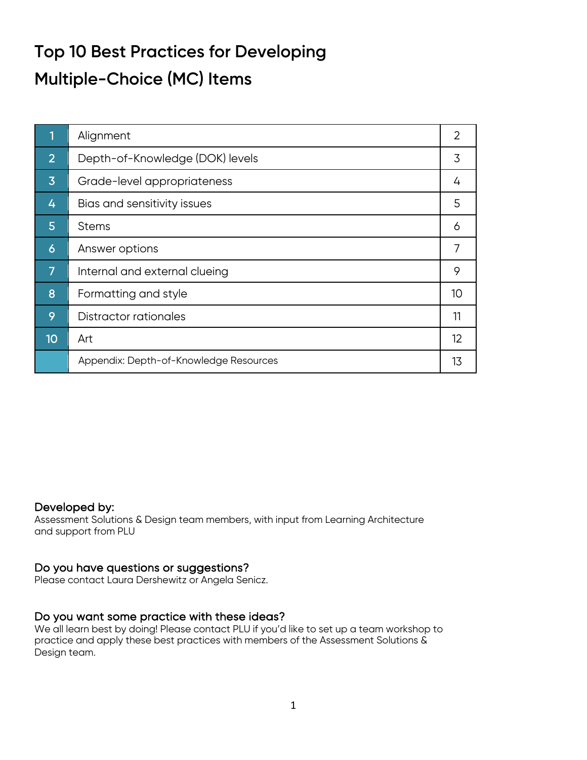# **Top 10 Best Practices for Developing Multiple-Choice (MC) Items**

|                 | Alignment                              | 2  |
|-----------------|----------------------------------------|----|
| $\overline{2}$  | Depth-of-Knowledge (DOK) levels        | 3  |
| $\overline{3}$  | Grade-level appropriateness            | 4  |
| 4               | Bias and sensitivity issues            | 5  |
| 5               | <b>Stems</b>                           | 6  |
| $\vert 6 \vert$ | Answer options                         | 7  |
| 7               | Internal and external clueing          | 9  |
| 8               | Formatting and style                   | 10 |
| 9               | Distractor rationales                  | 11 |
| 10              | Art                                    | 12 |
|                 | Appendix: Depth-of-Knowledge Resources | 13 |

#### Developed by:

Assessment Solutions & Design team members, with input from Learning Architecture and support from PLU

## Do you have questions or suggestions?

Please contact Laura Dershewitz or Angela Senicz.

## Do you want some practice with these ideas?

We all learn best by doing! Please contact PLU if you'd like to set up a team workshop to practice and apply these best practices with members of the Assessment Solutions & Design team.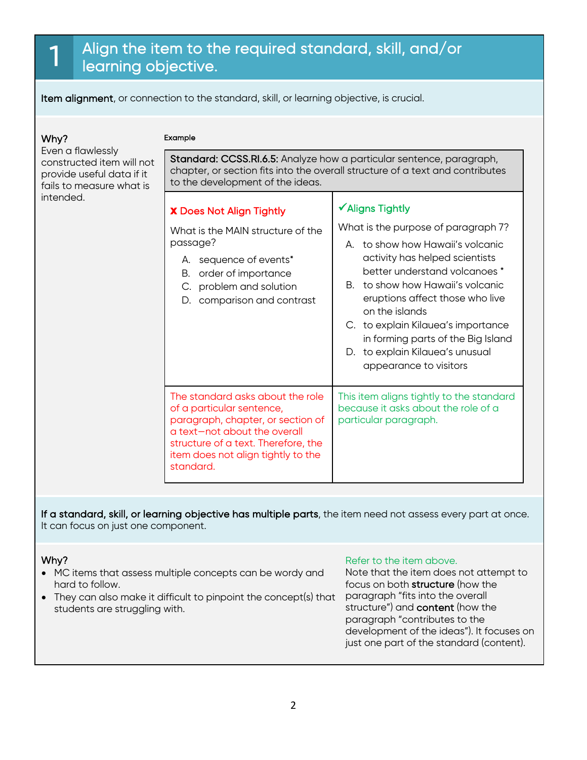# 1 Align the item to the required standard, skill, and/or learning objective.

Item alignment, or connection to the standard, skill, or learning objective, is crucial.

## Why?

intended.

Even a flawlessly

constructed item will not provide useful data if it fails to measure what is

#### Example

Standard: CCSS.RI.6.5: Analyze how a particular sentence, paragraph, chapter, or section fits into the overall structure of a text and contributes to the development of the ideas.

 $\checkmark$  Aligns Tightly

# **x** Does Not Align Tightly

What is the MAIN structure of the passage?

- A. sequence of events\*
- B. order of importance
- C. problem and solution
- D. comparison and contrast

The standard asks about the role

paragraph, chapter, or section of a text—not about the overall structure of a text. Therefore, the

of a particular sentence,

- on the islands C. to explain Kilauea's importance in forming parts of the Big Island D. to explain Kilauea's unusual
	- appearance to visitors

This item aligns tightly to the standard because it asks about the role of a particular paragraph.

What is the purpose of paragraph 7? A. to show how Hawaii's volcanic activity has helped scientists better understand volcanoes \* B. to show how Hawaii's volcanic eruptions affect those who live

item does not align tightly to the standard.

If a standard, skill, or learning objective has multiple parts, the item need not assess every part at once. It can focus on just one component.

#### Why?

- MC items that assess multiple concepts can be wordy and hard to follow.
- They can also make it difficult to pinpoint the concept(s) that students are struggling with.

#### Refer to the item above.

Note that the item does not attempt to focus on both structure (how the paragraph "fits into the overall structure") and content (how the paragraph "contributes to the development of the ideas"). It focuses on just one part of the standard (content).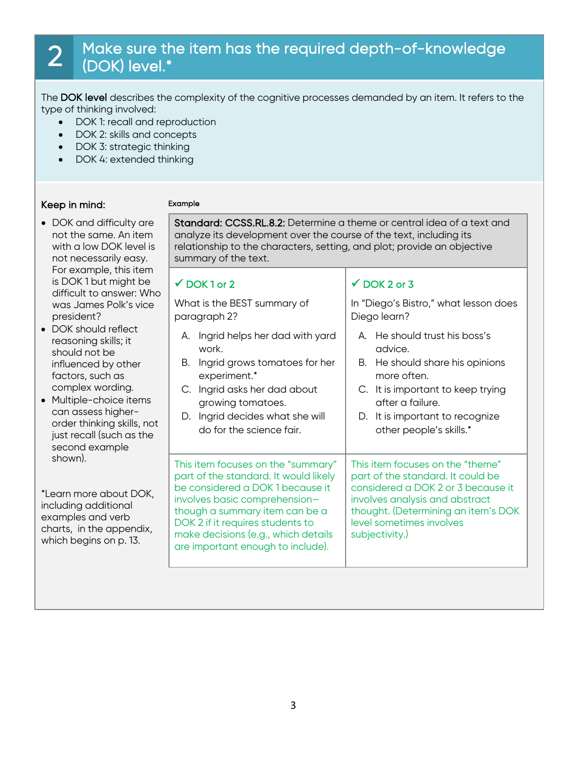# 2 Make sure the item has the required depth-of-knowledge (DOK) level.\*

The DOK level describes the complexity of the cognitive processes demanded by an item. It refers to the type of thinking involved:

- DOK 1: recall and reproduction
- DOK 2: skills and concepts
- DOK 3: strategic thinking
- DOK 4: extended thinking

#### Keep in mind:

#### Example

- DOK and difficulty are not the same. An item with a low DOK level is not necessarily easy. For example, this item is DOK 1 but might be difficult to answer: Who was James Polk's vice president?
- DOK should reflect reasoning skills; it should not be influenced by other factors, such as complex wording.
- Multiple-choice items can assess higherorder thinking skills, not just recall (such as the second example shown).

\*Learn more about DOK, including additional examples and verb charts, in the appendix, which begins on p. 13.

Standard: CCSS.RL.8.2: Determine a theme or central idea of a text and analyze its development over the course of the text, including its relationship to the characters, setting, and plot; provide an objective summary of the text.

## $\checkmark$  DOK 1 or 2

What is the BEST summary of paragraph 2?

- A. Ingrid helps her dad with yard work.
- B. Ingrid grows tomatoes for her experiment.\*
- C. Ingrid asks her dad about growing tomatoes.
- D. Ingrid decides what she will do for the science fair.

This item focuses on the "summary" part of the standard. It would likely be considered a DOK 1 because it involves basic comprehension though a summary item can be a DOK 2 if it requires students to make decisions (e.g., which details are important enough to include).

## $\checkmark$  DOK 2 or 3

In "Diego's Bistro," what lesson does Diego learn?

- A. He should trust his boss's advice.
- B. He should share his opinions more often.
- C. It is important to keep trying after a failure.
- D. It is important to recognize other people's skills.\*

This item focuses on the "theme" part of the standard. It could be considered a DOK 2 or 3 because it involves analysis and abstract thought. (Determining an item's DOK level sometimes involves subjectivity.)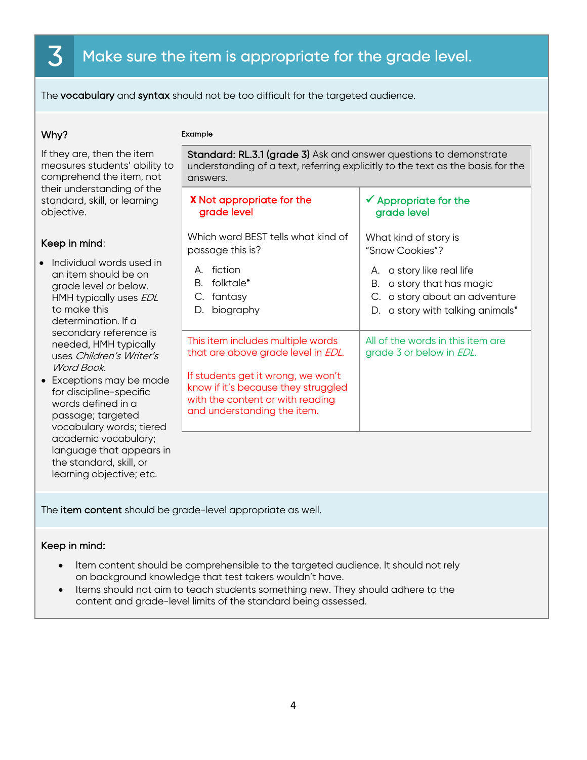# $\bar{\mathbf{3}}$  Make sure the item is appropriate for the grade level.

The vocabulary and syntax should not be too difficult for the targeted audience.

#### Why?

#### Example

| If they are, then the item<br>measures students' ability to<br>comprehend the item, not                                                                                                                                                                                                                 | Standard: RL.3.1 (grade 3) Ask and answer questions to demonstrate<br>understanding of a text, referring explicitly to the text as the basis for the<br>answers.                   |                                                                                                                                                                                                                 |  |
|---------------------------------------------------------------------------------------------------------------------------------------------------------------------------------------------------------------------------------------------------------------------------------------------------------|------------------------------------------------------------------------------------------------------------------------------------------------------------------------------------|-----------------------------------------------------------------------------------------------------------------------------------------------------------------------------------------------------------------|--|
| their understanding of the<br>standard, skill, or learning<br>objective.                                                                                                                                                                                                                                | <b>X</b> Not appropriate for the<br>grade level                                                                                                                                    | $\checkmark$ Appropriate for the<br>grade level                                                                                                                                                                 |  |
| Keep in mind:<br>Individual words used in<br>an item should be on<br>grade level or below.<br>HMH typically uses EDL<br>to make this<br>determination. If a<br>secondary reference is                                                                                                                   | Which word BEST tells what kind of<br>passage this is?<br>A. fiction<br>folktale*<br>В.<br>fantasy<br>C.<br>biography<br>D.<br>This item includes multiple words                   | What kind of story is<br>"Snow Cookies"?<br>A. a story like real life<br>a story that has magic<br>В.<br>C. a story about an adventure<br>D. a story with talking animals*<br>All of the words in this item are |  |
| needed, HMH typically<br>uses Children's Writer's<br>Word Book<br>• Exceptions may be made<br>for discipline-specific<br>words defined in a<br>passage; targeted<br>vocabulary words; tiered<br>academic vocabulary;<br>language that appears in<br>the standard, skill, or<br>learning objective; etc. | that are above grade level in EDL.<br>If students get it wrong, we won't<br>know if it's because they struggled<br>with the content or with reading<br>and understanding the item. | grade 3 or below in EDL.                                                                                                                                                                                        |  |

The item content should be grade-level appropriate as well.

#### Keep in mind:

- Item content should be comprehensible to the targeted audience. It should not rely on background knowledge that test takers wouldn't have.
- Items should not aim to teach students something new. They should adhere to the content and grade-level limits of the standard being assessed.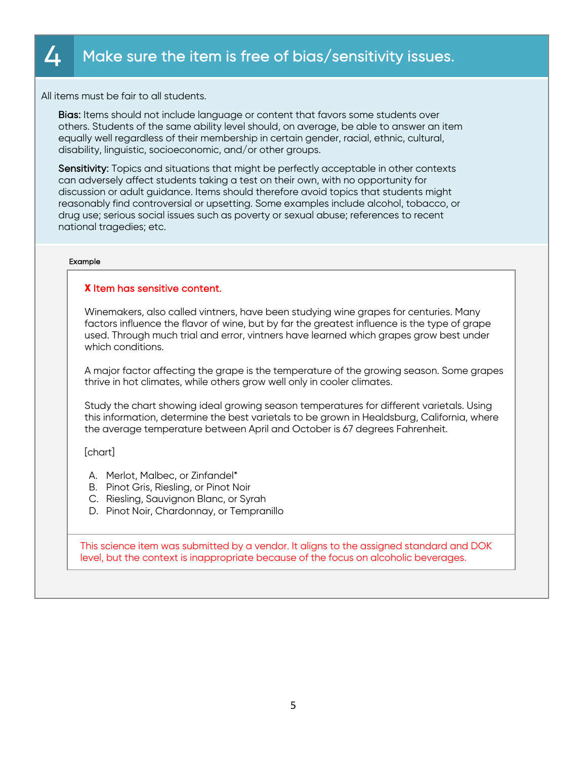# $\Delta$  Make sure the item is free of bias/sensitivity issues.

All items must be fair to all students.

Bias: Items should not include language or content that favors some students over others. Students of the same ability level should, on average, be able to answer an item equally well regardless of their membership in certain gender, racial, ethnic, cultural, disability, linguistic, socioeconomic, and/or other groups.

Sensitivity: Topics and situations that might be perfectly acceptable in other contexts can adversely affect students taking a test on their own, with no opportunity for discussion or adult guidance. Items should therefore avoid topics that students might reasonably find controversial or upsetting. Some examples include alcohol, tobacco, or drug use; serious social issues such as poverty or sexual abuse; references to recent national tragedies; etc.

#### Example

#### **X** Item has sensitive content.

Winemakers, also called vintners, have been studying wine grapes for centuries. Many factors influence the flavor of wine, but by far the greatest influence is the type of grape used. Through much trial and error, vintners have learned which grapes grow best under which conditions.

A major factor affecting the grape is the temperature of the growing season. Some grapes thrive in hot climates, while others grow well only in cooler climates.

Study the chart showing ideal growing season temperatures for different varietals. Using this information, determine the best varietals to be grown in Healdsburg, California, where the average temperature between April and October is 67 degrees Fahrenheit.

[chart]

- A. Merlot, Malbec, or Zinfandel\*
- B. Pinot Gris, Riesling, or Pinot Noir
- C. Riesling, Sauvignon Blanc, or Syrah
- D. Pinot Noir, Chardonnay, or Tempranillo

This science item was submitted by a vendor. It aligns to the assigned standard and DOK level, but the context is inappropriate because of the focus on alcoholic beverages.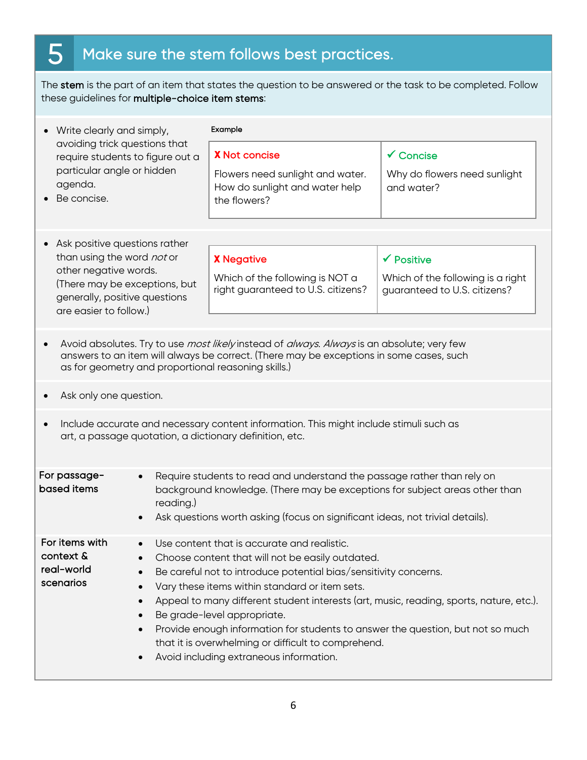# $5<sup>7</sup>$  Make sure the stem follows best practices.

The stem is the part of an item that states the question to be answered or the task to be completed. Follow these guidelines for multiple-choice item stems:

| • Write clearly and simply,<br>avoiding trick questions that<br>require students to figure out a<br>particular angle or hidden<br>agenda.<br>Be concise.                                                                                                   |  | Example                                                                                                                                                                                                                                                                                                                                                                                                                                                                                                                              |                                                                                            |  |
|------------------------------------------------------------------------------------------------------------------------------------------------------------------------------------------------------------------------------------------------------------|--|--------------------------------------------------------------------------------------------------------------------------------------------------------------------------------------------------------------------------------------------------------------------------------------------------------------------------------------------------------------------------------------------------------------------------------------------------------------------------------------------------------------------------------------|--------------------------------------------------------------------------------------------|--|
|                                                                                                                                                                                                                                                            |  | <b>X</b> Not concise<br>Flowers need sunlight and water.<br>How do sunlight and water help<br>the flowers?                                                                                                                                                                                                                                                                                                                                                                                                                           | $\checkmark$ Concise<br>Why do flowers need sunlight<br>and water?                         |  |
| Ask positive questions rather<br>than using the word not or<br>other negative words.<br>(There may be exceptions, but<br>generally, positive questions<br>are easier to follow.)                                                                           |  | <b>X</b> Negative<br>Which of the following is NOT a<br>right guaranteed to U.S. citizens?                                                                                                                                                                                                                                                                                                                                                                                                                                           | $\checkmark$ Positive<br>Which of the following is a right<br>guaranteed to U.S. citizens? |  |
| Avoid absolutes. Try to use <i>most likely</i> instead of <i>always. Always</i> is an absolute; very few<br>answers to an item will always be correct. (There may be exceptions in some cases, such<br>as for geometry and proportional reasoning skills.) |  |                                                                                                                                                                                                                                                                                                                                                                                                                                                                                                                                      |                                                                                            |  |
| Ask only one question.                                                                                                                                                                                                                                     |  |                                                                                                                                                                                                                                                                                                                                                                                                                                                                                                                                      |                                                                                            |  |
| Include accurate and necessary content information. This might include stimuli such as<br>$\bullet$<br>art, a passage quotation, a dictionary definition, etc.                                                                                             |  |                                                                                                                                                                                                                                                                                                                                                                                                                                                                                                                                      |                                                                                            |  |
| For passage-<br>based items<br>reading.)                                                                                                                                                                                                                   |  | Require students to read and understand the passage rather than rely on<br>background knowledge. (There may be exceptions for subject areas other than<br>Ask questions worth asking (focus on significant ideas, not trivial details).                                                                                                                                                                                                                                                                                              |                                                                                            |  |
| For items with<br>context &<br>real-world<br>scenarios<br>$\bullet$<br>$\bullet$<br>$\bullet$                                                                                                                                                              |  | Use content that is accurate and realistic.<br>Choose content that will not be easily outdated.<br>Be careful not to introduce potential bias/sensitivity concerns.<br>Vary these items within standard or item sets.<br>Appeal to many different student interests (art, music, reading, sports, nature, etc.).<br>Be grade-level appropriate.<br>Provide enough information for students to answer the question, but not so much<br>that it is overwhelming or difficult to comprehend.<br>Avoid including extraneous information. |                                                                                            |  |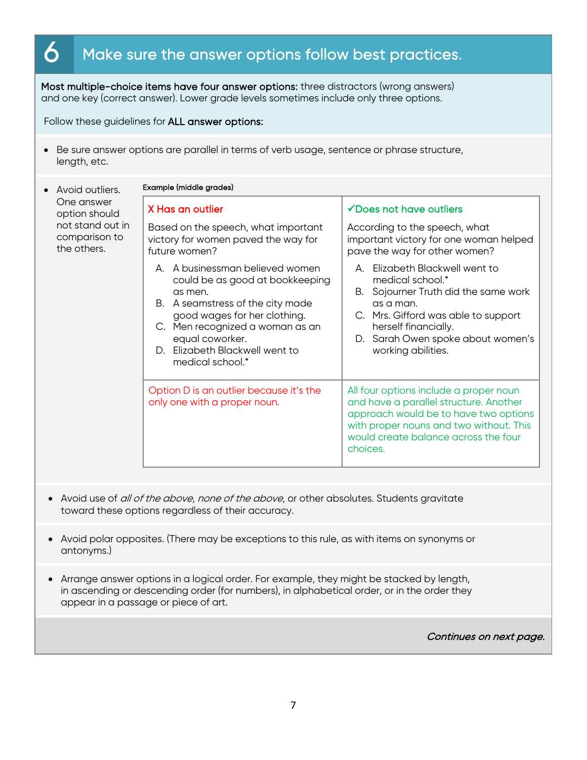# $\bf 6$  Make sure the answer options follow best practices.

Most multiple-choice items have four answer options: three distractors (wrong answers) and one key (correct answer). Lower grade levels sometimes include only three options.

Follow these guidelines for ALL answer options:

• Be sure answer options are parallel in terms of verb usage, sentence or phrase structure, length, etc.

| Avoid outliers.                                                                                                                                                                                                                 | Example (middle grades)                                                                                                                                                                                                                                                                                                                  |                                                                                                                                                                                                                                                                                                                                                                                                                                                               |  |  |
|---------------------------------------------------------------------------------------------------------------------------------------------------------------------------------------------------------------------------------|------------------------------------------------------------------------------------------------------------------------------------------------------------------------------------------------------------------------------------------------------------------------------------------------------------------------------------------|---------------------------------------------------------------------------------------------------------------------------------------------------------------------------------------------------------------------------------------------------------------------------------------------------------------------------------------------------------------------------------------------------------------------------------------------------------------|--|--|
| One answer<br>option should                                                                                                                                                                                                     | X Has an outlier                                                                                                                                                                                                                                                                                                                         | √Does not have outliers                                                                                                                                                                                                                                                                                                                                                                                                                                       |  |  |
| not stand out in<br>comparison to<br>the others.                                                                                                                                                                                | Based on the speech, what important<br>victory for women paved the way for<br>future women?                                                                                                                                                                                                                                              | According to the speech, what<br>important victory for one woman helped<br>pave the way for other women?                                                                                                                                                                                                                                                                                                                                                      |  |  |
|                                                                                                                                                                                                                                 | A. A businessman believed women<br>could be as good at bookkeeping<br>as men.<br>B. A seamstress of the city made<br>good wages for her clothing.<br>C. Men recognized a woman as an<br>equal coworker.<br>D. Elizabeth Blackwell went to<br>medical school.*<br>Option D is an outlier because it's the<br>only one with a proper noun. | A. Elizabeth Blackwell went to<br>medical school.*<br>B. Sojourner Truth did the same work<br>as a man.<br>C. Mrs. Gifford was able to support<br>herself financially.<br>D. Sarah Owen spoke about women's<br>working abilities.<br>All four options include a proper noun<br>and have a parallel structure. Another<br>approach would be to have two options<br>with proper nouns and two without. This<br>would create balance across the four<br>choices. |  |  |
|                                                                                                                                                                                                                                 |                                                                                                                                                                                                                                                                                                                                          |                                                                                                                                                                                                                                                                                                                                                                                                                                                               |  |  |
|                                                                                                                                                                                                                                 |                                                                                                                                                                                                                                                                                                                                          |                                                                                                                                                                                                                                                                                                                                                                                                                                                               |  |  |
|                                                                                                                                                                                                                                 | Avoid use of all of the above, none of the above, or other absolutes. Students gravitate<br>toward these options regardless of their accuracy.                                                                                                                                                                                           |                                                                                                                                                                                                                                                                                                                                                                                                                                                               |  |  |
| Avoid polar opposites. (There may be exceptions to this rule, as with items on synonyms or<br>antonyms.)                                                                                                                        |                                                                                                                                                                                                                                                                                                                                          |                                                                                                                                                                                                                                                                                                                                                                                                                                                               |  |  |
| Arrange answer options in a logical order. For example, they might be stacked by length,<br>in ascending or descending order (for numbers), in alphabetical order, or in the order they<br>appear in a passage or piece of art. |                                                                                                                                                                                                                                                                                                                                          |                                                                                                                                                                                                                                                                                                                                                                                                                                                               |  |  |
|                                                                                                                                                                                                                                 |                                                                                                                                                                                                                                                                                                                                          | Continues on next page.                                                                                                                                                                                                                                                                                                                                                                                                                                       |  |  |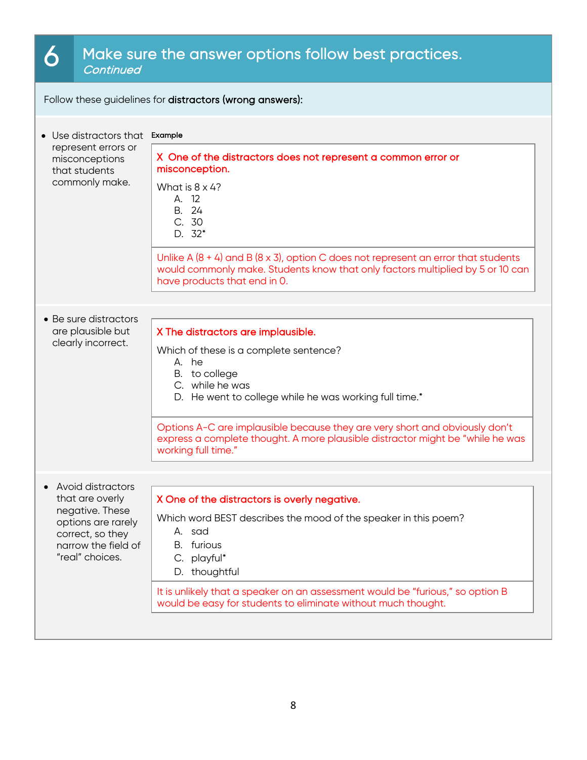# 6 Make sure the answer options follow best practices.

Follow these guidelines for distractors (wrong answers):

| Use distractors that Example                                                                                                                  |                                                                                                                                                                                                                                                                                                                                                                             |  |  |
|-----------------------------------------------------------------------------------------------------------------------------------------------|-----------------------------------------------------------------------------------------------------------------------------------------------------------------------------------------------------------------------------------------------------------------------------------------------------------------------------------------------------------------------------|--|--|
| represent errors or<br>misconceptions<br>that students<br>commonly make.                                                                      | X One of the distractors does not represent a common error or<br>misconception.<br>What is $8 \times 4$ ?<br>A. 12<br>B. 24<br>C. 30<br>$D. 32*$<br>Unlike A $(8 + 4)$ and B $(8 \times 3)$ , option C does not represent an error that students<br>would commonly make. Students know that only factors multiplied by 5 or 10 can<br>have products that end in 0.          |  |  |
| • Be sure distractors<br>are plausible but<br>clearly incorrect.                                                                              | X The distractors are implausible.<br>Which of these is a complete sentence?<br>A. he<br>B. to college<br>C. while he was<br>D. He went to college while he was working full time.*<br>Options A-C are implausible because they are very short and obviously don't<br>express a complete thought. A more plausible distractor might be "while he was<br>working full time." |  |  |
| • Avoid distractors<br>that are overly<br>negative. These<br>options are rarely<br>correct, so they<br>narrow the field of<br>'real" choices. | X One of the distractors is overly negative.<br>Which word BEST describes the mood of the speaker in this poem?<br>A. sad<br>B. furious<br>C. playful*<br>D. thoughtful<br>It is unlikely that a speaker on an assessment would be "furious," so option B<br>would be easy for students to eliminate without much thought.                                                  |  |  |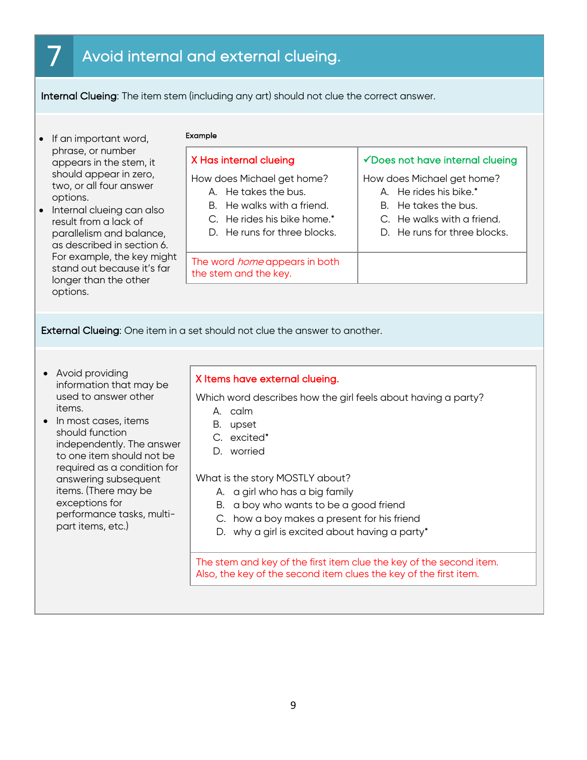# Avoid internal and external clueing.

Internal Clueing: The item stem (including any art) should not clue the correct answer.

- If an important word, phrase, or number appears in the stem, it should appear in zero, two, or all four answer options.
- Internal clueing can also result from a lack of parallelism and balance, as described in section 6. For example, the key might stand out because it's far longer than the other options.

#### Example

#### X Has internal clueing

How does Michael get home?

- A. He takes the bus.
- B. He walks with a friend.
- C. He rides his bike home.\*
- D. He runs for three blocks.

The word *home* appears in both the stem and the key.

#### $\checkmark$  Does not have internal clueing

How does Michael get home?

- A. He rides his bike.\*
- B. He takes the bus.
- C. He walks with a friend.
- D. He runs for three blocks.

External Clueing: One item in a set should not clue the answer to another.

- Avoid providing information that may be used to answer other items.
- In most cases, items should function independently. The answer to one item should not be required as a condition for answering subsequent items. (There may be exceptions for performance tasks, multipart items, etc.)

#### X Items have external clueing.

Which word describes how the girl feels about having a party?

- A. calm
- B. upset
- C. excited\*
- D. worried

What is the story MOSTLY about?

- A. a girl who has a big family
- B. a boy who wants to be a good friend
- C. how a boy makes a present for his friend
- D. why a girl is excited about having a party\*

The stem and key of the first item clue the key of the second item. Also, the key of the second item clues the key of the first item.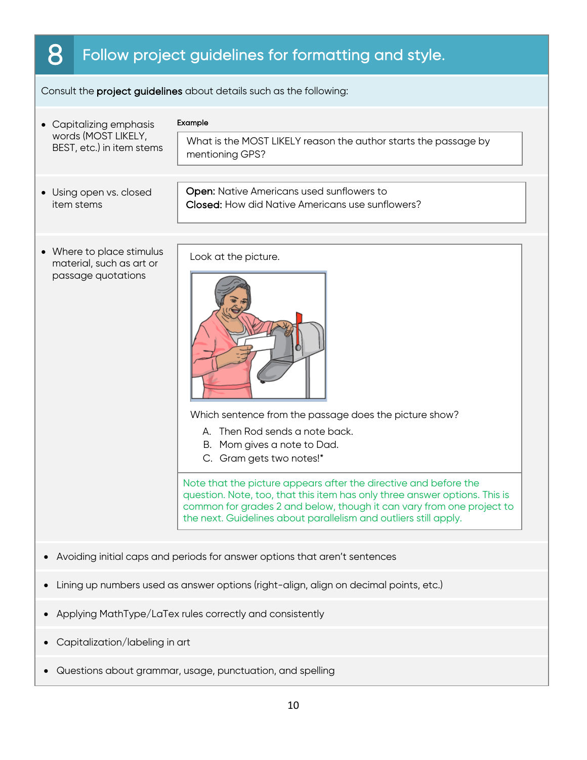# 8 Follow project guidelines for formatting and style.

Consult the project guidelines about details such as the following:

| • Capitalizing emphasis<br>words (MOST LIKELY,                                        | Example<br>What is the MOST LIKELY reason the author starts the passage by                                                                                                                                                                                                                                                                                                                                                                                                 |  |  |
|---------------------------------------------------------------------------------------|----------------------------------------------------------------------------------------------------------------------------------------------------------------------------------------------------------------------------------------------------------------------------------------------------------------------------------------------------------------------------------------------------------------------------------------------------------------------------|--|--|
| BEST, etc.) in item stems                                                             | mentioning GPS?                                                                                                                                                                                                                                                                                                                                                                                                                                                            |  |  |
| • Using open vs. closed<br>item stems                                                 | Open: Native Americans used sunflowers to<br>Closed: How did Native Americans use sunflowers?                                                                                                                                                                                                                                                                                                                                                                              |  |  |
| • Where to place stimulus<br>material, such as art or<br>passage quotations           | Look at the picture.<br>Which sentence from the passage does the picture show?<br>A. Then Rod sends a note back.<br>B. Mom gives a note to Dad.<br>C. Gram gets two notes!*<br>Note that the picture appears after the directive and before the<br>question. Note, too, that this item has only three answer options. This is<br>common for grades 2 and below, though it can vary from one project to<br>the next. Guidelines about parallelism and outliers still apply. |  |  |
| Avoiding initial caps and periods for answer options that aren't sentences            |                                                                                                                                                                                                                                                                                                                                                                                                                                                                            |  |  |
| Lining up numbers used as answer options (right-align, align on decimal points, etc.) |                                                                                                                                                                                                                                                                                                                                                                                                                                                                            |  |  |
| Applying MathType/LaTex rules correctly and consistently                              |                                                                                                                                                                                                                                                                                                                                                                                                                                                                            |  |  |
| Capitalization/labeling in art                                                        |                                                                                                                                                                                                                                                                                                                                                                                                                                                                            |  |  |

• Questions about grammar, usage, punctuation, and spelling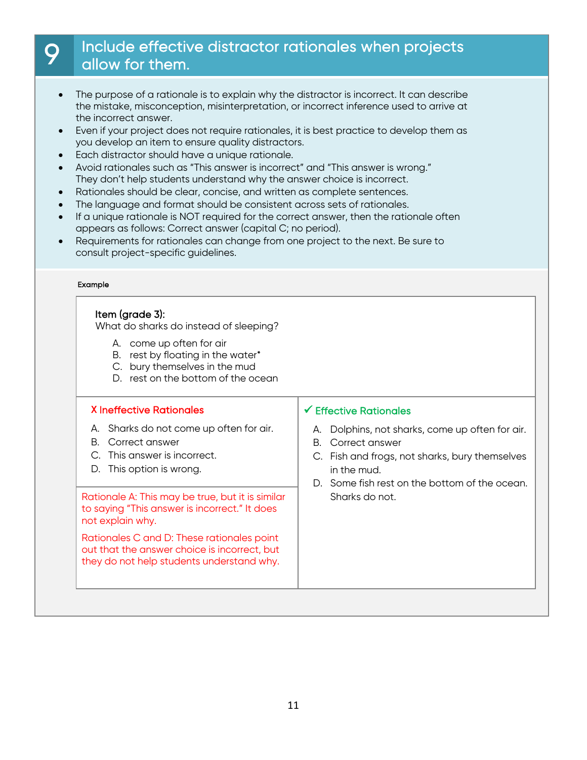# 9 Include effective distractor rationales when projects allow for them.

- The purpose of a rationale is to explain why the distractor is incorrect. It can describe the mistake, misconception, misinterpretation, or incorrect inference used to arrive at the incorrect answer.
- Even if your project does not require rationales, it is best practice to develop them as you develop an item to ensure quality distractors.
- Each distractor should have a unique rationale.
- Avoid rationales such as "This answer is incorrect" and "This answer is wrong." They don't help students understand why the answer choice is incorrect.
- Rationales should be clear, concise, and written as complete sentences.
- The language and format should be consistent across sets of rationales.
- If a unique rationale is NOT required for the correct answer, then the rationale often appears as follows: Correct answer (capital C; no period).
- Requirements for rationales can change from one project to the next. Be sure to consult project-specific guidelines.

#### Example

#### Item (grade 3):

What do sharks do instead of sleeping?

- A. come up often for air
- B. rest by floating in the water\*
- C. bury themselves in the mud
- D. rest on the bottom of the ocean

#### **X** Ineffective Rationales

- A. Sharks do not come up often for air.
- B. Correct answer
- C. This answer is incorrect.
- D. This option is wrong.

Rationale A: This may be true, but it is similar  $\parallel$  Sharks do not. to saying "This answer is incorrect." It does not explain why.

Rationales C and D: These rationales point out that the answer choice is incorrect, but they do not help students understand why.

#### $\checkmark$  Effective Rationales

- A. Dolphins, not sharks, come up often for air.
- B. Correct answer
- C. Fish and frogs, not sharks, bury themselves in the mud.
- D. Some fish rest on the bottom of the ocean.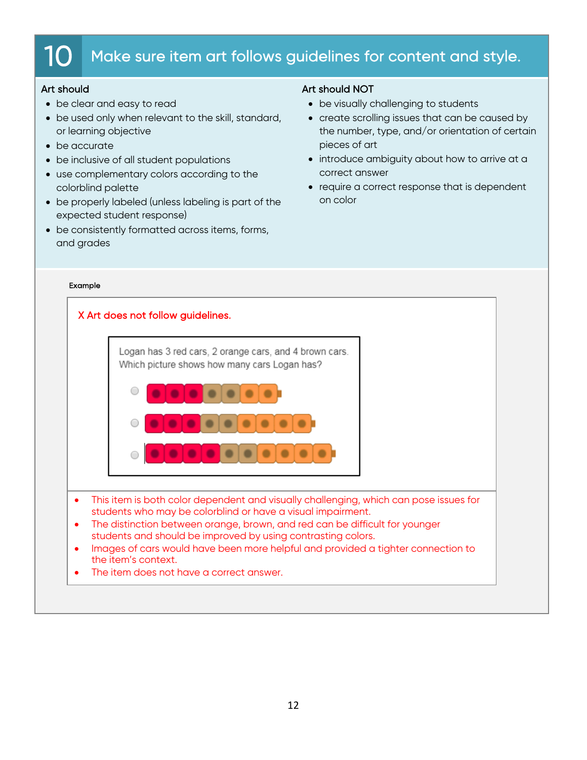# $10$   $\,$  Make sure item art follows guidelines for content and style.

## Art should

- be clear and easy to read
- be used only when relevant to the skill, standard, or learning objective
- be accurate
- be inclusive of all student populations
- use complementary colors according to the colorblind palette
- be properly labeled (unless labeling is part of the expected student response)
- be consistently formatted across items, forms, and grades

### Art should NOT

- be visually challenging to students
- create scrolling issues that can be caused by the number, type, and/or orientation of certain pieces of art
- introduce ambiguity about how to arrive at a correct answer
- require a correct response that is dependent on color

#### Example

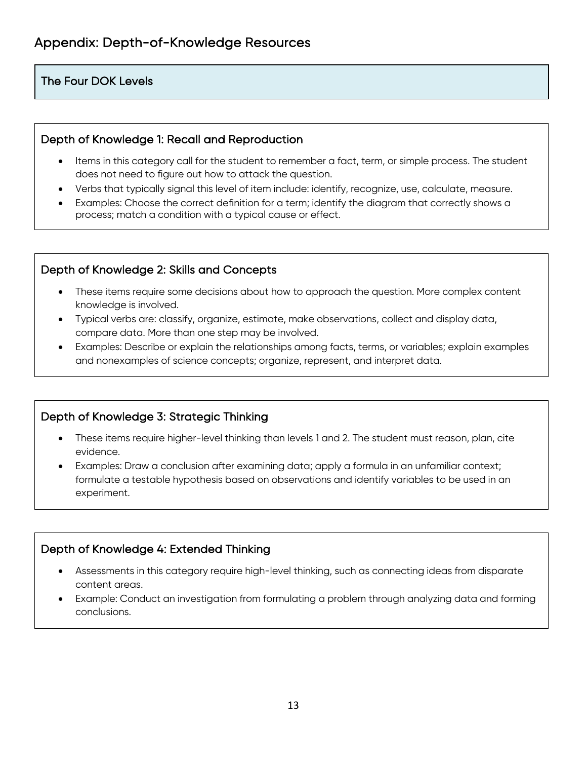## The Four DOK Levels

## Depth of Knowledge 1: Recall and Reproduction

- Items in this category call for the student to remember a fact, term, or simple process. The student does not need to figure out how to attack the question.
- Verbs that typically signal this level of item include: identify, recognize, use, calculate, measure.
- Examples: Choose the correct definition for a term; identify the diagram that correctly shows a process; match a condition with a typical cause or effect.

## Depth of Knowledge 2: Skills and Concepts

- These items require some decisions about how to approach the question. More complex content knowledge is involved.
- Typical verbs are: classify, organize, estimate, make observations, collect and display data, compare data. More than one step may be involved.
- Examples: Describe or explain the relationships among facts, terms, or variables; explain examples and nonexamples of science concepts; organize, represent, and interpret data.

## Depth of Knowledge 3: Strategic Thinking

- These items require higher-level thinking than levels 1 and 2. The student must reason, plan, cite evidence.
- Examples: Draw a conclusion after examining data; apply a formula in an unfamiliar context; formulate a testable hypothesis based on observations and identify variables to be used in an experiment.

## Depth of Knowledge 4: Extended Thinking

- Assessments in this category require high-level thinking, such as connecting ideas from disparate content areas.
- Example: Conduct an investigation from formulating a problem through analyzing data and forming conclusions.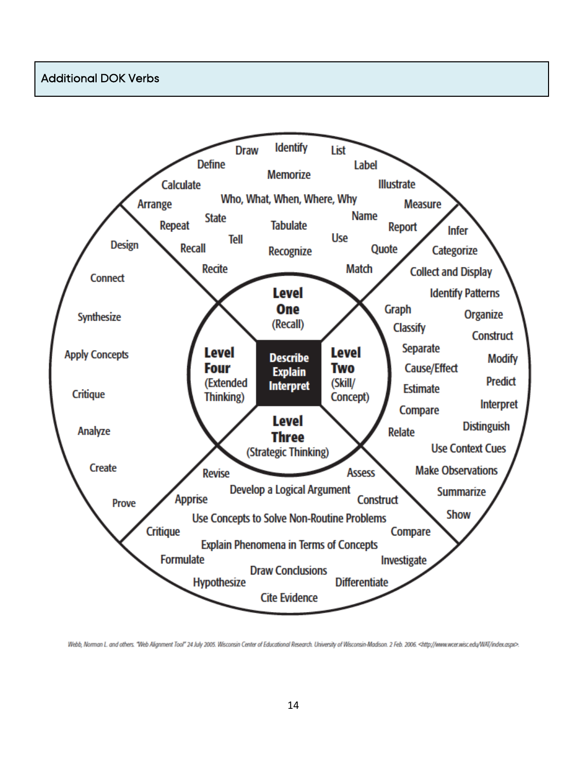## Additional DOK Verbs



Webb, Norman L. and others. "Web Alignment Tool" 24 July 2005. Wisconsin Center of Educational Research. University of Wisconsin-Madison. 2 Feb. 2006. <http://www.wcer.wisc.edu/WAT/index.aspx>.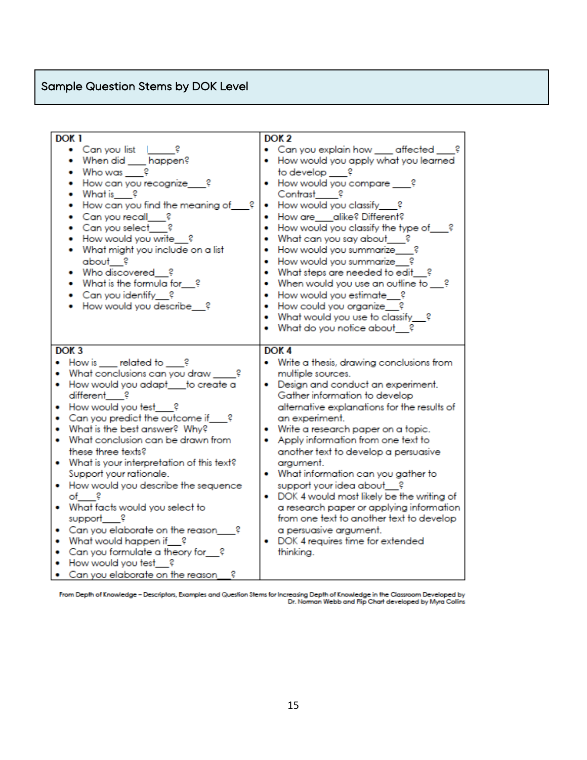# Sample Question Stems by DOK Level

| DOK <sub>1</sub>                                                                                                                                                                                                                                                                                                                                                                                                                                                                                                                                                                                                                                                               | DOK <sub>2</sub>                                                                                                                                                                                                                                                                                                                                                                                                                                                                                                                                                                                                                                       |
|--------------------------------------------------------------------------------------------------------------------------------------------------------------------------------------------------------------------------------------------------------------------------------------------------------------------------------------------------------------------------------------------------------------------------------------------------------------------------------------------------------------------------------------------------------------------------------------------------------------------------------------------------------------------------------|--------------------------------------------------------------------------------------------------------------------------------------------------------------------------------------------------------------------------------------------------------------------------------------------------------------------------------------------------------------------------------------------------------------------------------------------------------------------------------------------------------------------------------------------------------------------------------------------------------------------------------------------------------|
| • Can you list   ?<br>• When did ___ happen?<br>• Who was ?<br>How can you recognize<br>- 2<br>• What is $\frac{2}{3}$<br>How can you find the meaning of ___?<br>$\bullet$<br>Can you recall ?<br>$\bullet$ Can you select<br>• How would you write ?<br>• What might you include on a list<br>about ?<br>• Who discovered ?<br>• What is the formula for ?<br>• Can you identify ?<br>• How would you describe ?                                                                                                                                                                                                                                                             | • Can you explain how ____ affected __<br>• How would you apply what you learned<br>to develop ?<br>• How would you compare ___?<br>Contrast ?<br>How would you classify___?<br>How are ___ alike? Different?<br>How would you classify the type of ?<br>What can you say about___?<br>How would you summarize___?<br>How would you summarize ?<br>What steps are needed to edit_?<br>٠<br>When would you use an outline to ?<br>How would you estimate ?<br>How could you organize ?<br>What would you use to classify ?<br>What do you notice about ?                                                                                                |
| DOK <sub>3</sub><br>How is related to ?<br>$\bullet$<br>What conclusions can you draw _____?<br>How would you adapt__to create a<br>different ?<br>• How would you test ?<br>• Can you predict the outcome if ?<br>. What is the best answer? Why?<br>What conclusion can be drawn from<br>٠<br>these three texts?<br>What is your interpretation of this text?<br>Support your rationale.<br>• How would you describe the sequence<br>$of$ ?<br>. What facts would you select to<br>support___?<br>Can you elaborate on the reason ?<br>۰<br>What would happen if ?<br>• Can you formulate a theory for_?<br>• How would you test ?<br>• Can you elaborate on the reason<br>г | DOK <sub>4</sub><br>• Write a thesis, drawing conclusions from<br>multiple sources.<br>• Design and conduct an experiment.<br>Gather information to develop<br>alternative explanations for the results of<br>an experiment.<br>• Write a research paper on a topic.<br>Apply information from one text to<br>another text to develop a persuasive<br>argument.<br>• What information can you gather to<br>support your idea about ?<br>• DOK 4 would most likely be the writing of<br>a research paper or applying information<br>from one text to another text to develop<br>a persuasive argument.<br>DOK 4 requires time for extended<br>thinking. |

From Depth of Knowledge – Descriptors, Examples and Question Stems for Increasing Depth of Knowledge in the Classroom Developed by<br>Dr. Norman Webb and Rip Chart developed by Myra Collins